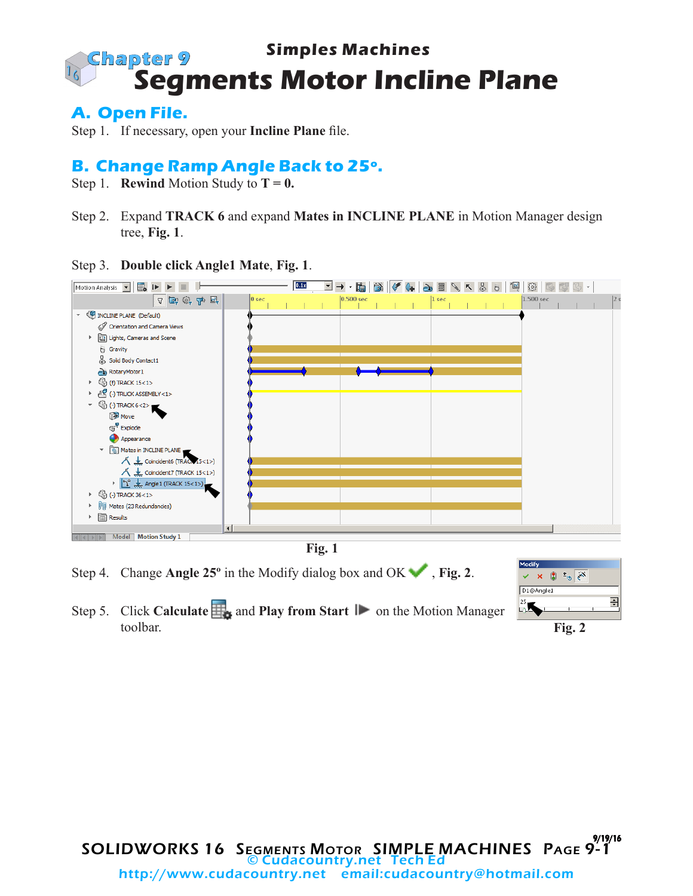#### **Simples Machines Segments Motor Incline Plane Chapter 9**

**A. Open File.**

Step 1. If necessary, open your **Incline Plane** file.

### **B. Change Ramp Angle Back to 25º.**

- Step 1. **Rewind** Motion Study to  $T = 0$ .
- Step 2. Expand **TRACK 6** and expand **Mates in INCLINE PLANE** in Motion Manager design tree, **Fig. 1**.

Step 3. **Double click Angle1 Mate**, **Fig. 1**.





- Step 4. Change **Angle 25°** in the Modify dialog box and OK  $\bullet$ , **Fig. 2**.
- Step 5. Click **Calculate**  $\frac{1}{\sqrt{2}}$  and **Play from Start**  $\frac{1}{\sqrt{2}}$  on the Motion Manager toolbar.



**Fig. 2**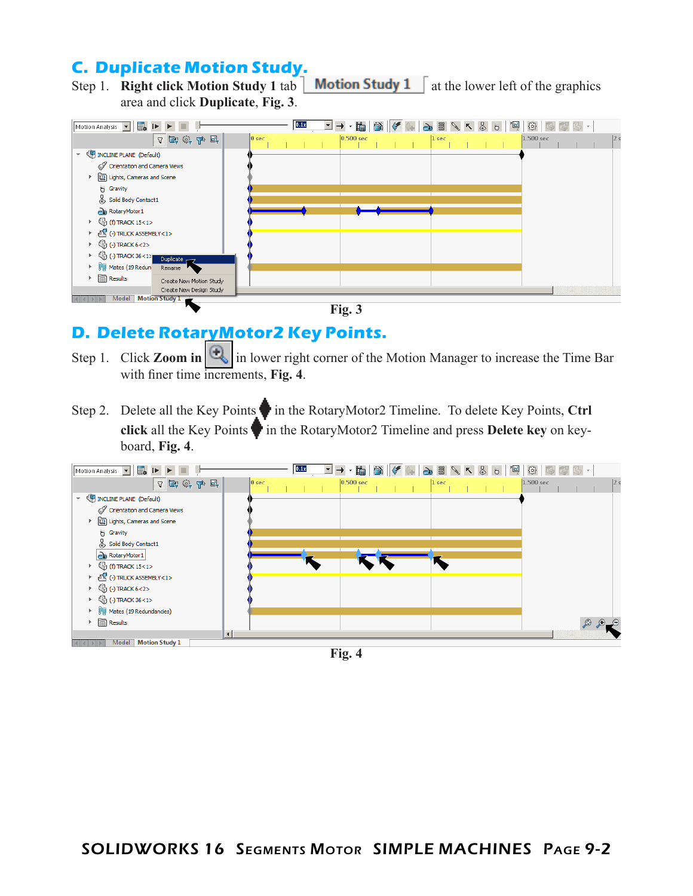### **C. Duplicate Motion Study.**

Step 1. **Right click Motion Study 1** tab  $\vert$  **Motion Study 1** at the lower left of the graphics area and click **Duplicate**, **Fig. 3**.





# **D. Delete RotaryMotor2 Key Points.**

- Step 1. Click **Zoom in**  $\left|\frac{1}{n}\right|$  in lower right corner of the Motion Manager to increase the Time Bar with finer time increments, **Fig. 4**.
- Step 2. Delete all the Key Points in the RotaryMotor2 Timeline. To delete Key Points, Ctrl **click** all the Key Points in the RotaryMotor2 Timeline and press Delete key on keyboard, **Fig. 4**.



**Fig. 4**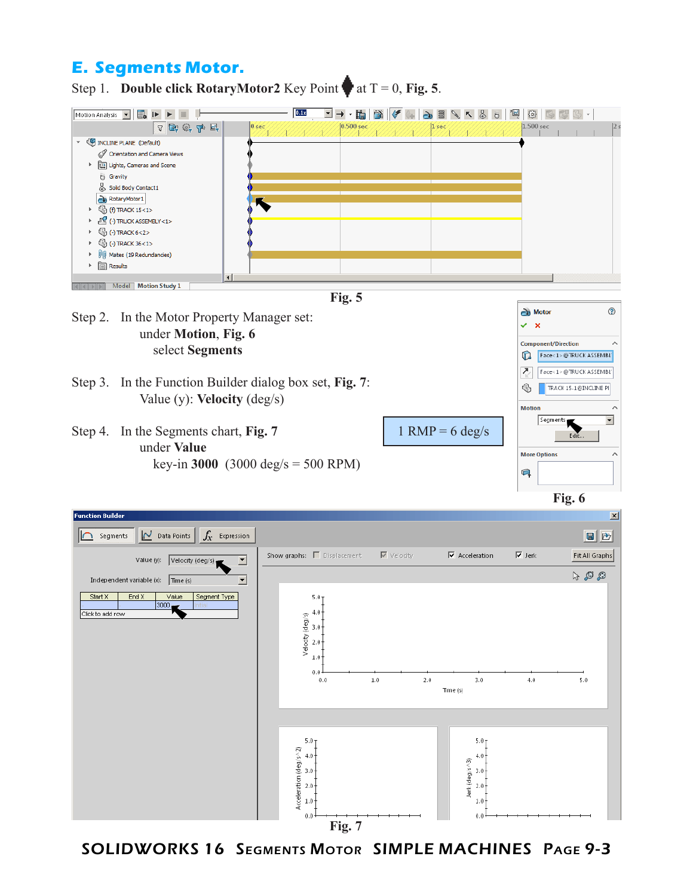### **E. Segments Motor.**

Step 1. **Double click RotaryMotor2** Key Point at  $T = 0$ , Fig. 5.



**Fig. 7**

SOLIDWORKS 16 Segments Motor SIMPLE MACHINES Page 9-3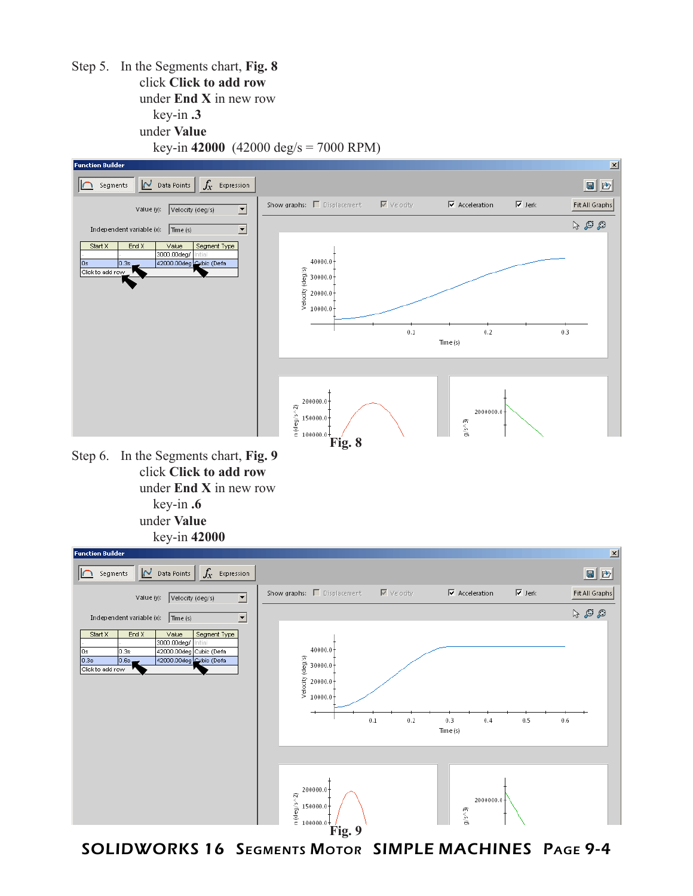Step 5. In the Segments chart, **Fig. 8** click **Click to add row** under **End X** in new row key-in **.3** under **Value** key-in **42000** (42000 deg/s = 7000 RPM)







SOLIDWORKS 16 Segments Motor SIMPLE MACHINES Page 9-4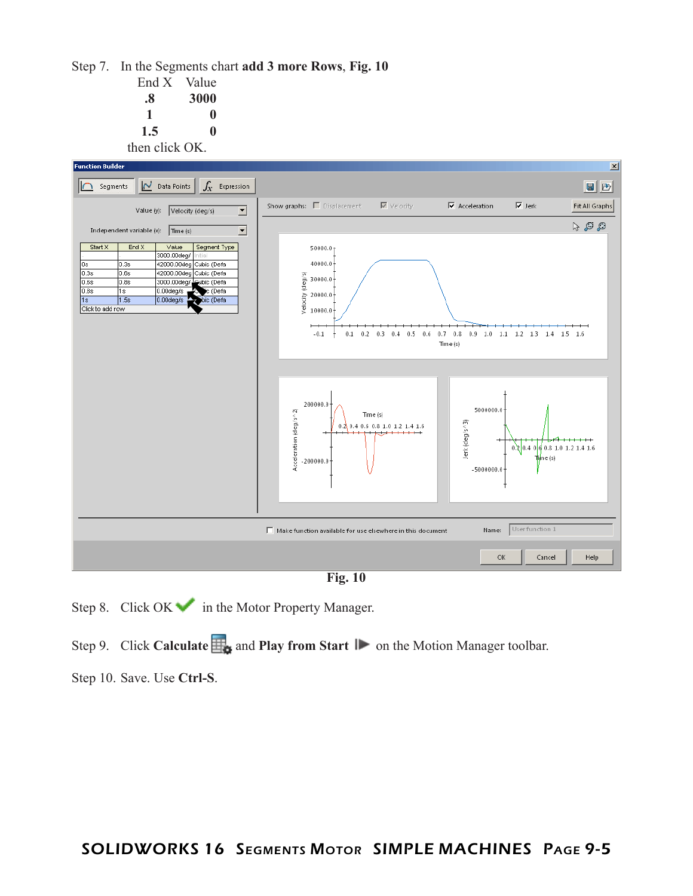Step 7. In the Segments chart **add 3 more Rows**, **Fig. 10**

| End X          | Value |  |  |
|----------------|-------|--|--|
| .8             | 3000  |  |  |
| 1              | 0     |  |  |
| 1.5            | o     |  |  |
| then click OK. |       |  |  |



**Fig. 10**

Step 8. Click  $OK$  in the Motor Property Manager.

Step 9. Click **Calculate H<sub>2</sub>** and **Play from Start I** on the Motion Manager toolbar.

Step 10. Save. Use **Ctrl-S**.